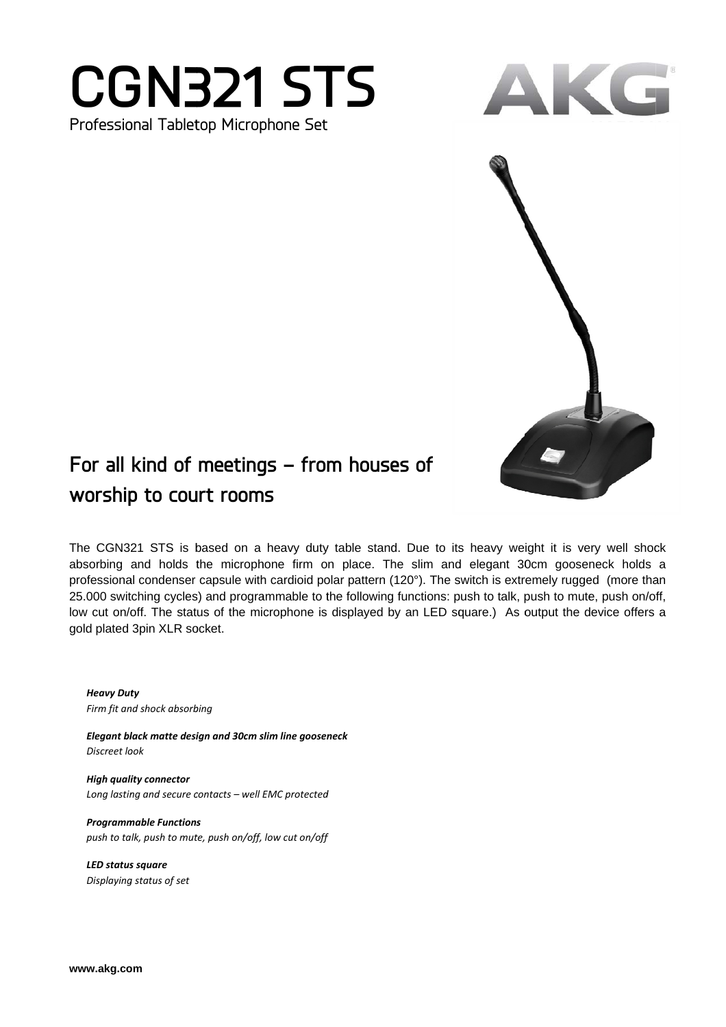## **CGN321 STS** Professional Tabletop Microphone Set



## For all kind of meetings - from houses of worship to court rooms

The CGN321 STS is based on a heavy duty table stand. Due to its heavy weight it is very well shock absorbing and holds the microphone firm on place. The slim and elegant 30cm gooseneck holds a professional condenser capsule with cardioid polar pattern (120°). The switch is extremely rugged (more than 25.000 switching cycles) and programmable to the following functions: push to talk, push to mute, push on/off, low cut on/off. The status of the microphone is displayed by an LED square.) As output the device offers a gold plated 3pin XLR socket.

**Heavy Duty** Firm fit and shock absorbing

Elegant black matte design and 30cm slim line gooseneck Discreet look

**High quality connector** Long lasting and secure contacts - well EMC protected

**Programmable Functions** push to talk, push to mute, push on/off, low cut on/off

**LED status square** Displaying status of set